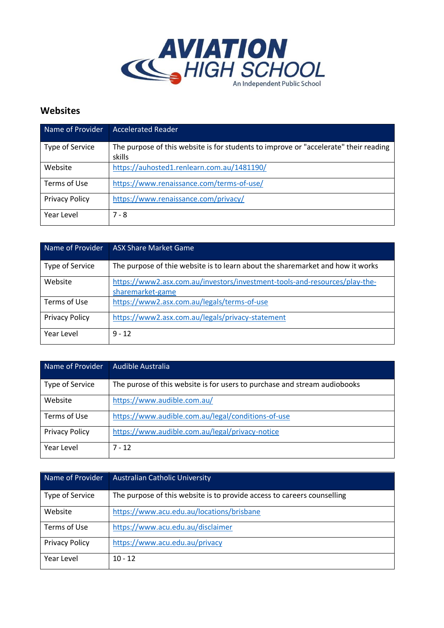

## **Websites**

| Name of Provider      | <b>Accelerated Reader</b>                                                                      |
|-----------------------|------------------------------------------------------------------------------------------------|
| Type of Service       | The purpose of this website is for students to improve or "accelerate" their reading<br>skills |
| Website               | https://auhosted1.renlearn.com.au/1481190/                                                     |
| Terms of Use          | https://www.renaissance.com/terms-of-use/                                                      |
| <b>Privacy Policy</b> | https://www.renaissance.com/privacy/                                                           |
| Year Level            | $7 - 8$                                                                                        |

| Name of Provider      | <b>ASX Share Market Game</b>                                                                   |
|-----------------------|------------------------------------------------------------------------------------------------|
| Type of Service       | The purpose of thie website is to learn about the sharemarket and how it works                 |
| Website               | https://www2.asx.com.au/investors/investment-tools-and-resources/play-the-<br>sharemarket-game |
| Terms of Use          | https://www2.asx.com.au/legals/terms-of-use                                                    |
| <b>Privacy Policy</b> | https://www2.asx.com.au/legals/privacy-statement                                               |
| Year Level            | $9 - 12$                                                                                       |

| Name of Provider      | Audible Australia                                                         |
|-----------------------|---------------------------------------------------------------------------|
| Type of Service       | The purose of this website is for users to purchase and stream audiobooks |
| Website               | https://www.audible.com.au/                                               |
| Terms of Use          | https://www.audible.com.au/legal/conditions-of-use                        |
| <b>Privacy Policy</b> | https://www.audible.com.au/legal/privacy-notice                           |
| Year Level            | $7 - 12$                                                                  |

| Name of Provider      | <b>Australian Catholic University</b>                                   |
|-----------------------|-------------------------------------------------------------------------|
| Type of Service       | The purpose of this website is to provide access to careers counselling |
| Website               | https://www.acu.edu.au/locations/brisbane                               |
| Terms of Use          | https://www.acu.edu.au/disclaimer                                       |
| <b>Privacy Policy</b> | https://www.acu.edu.au/privacy                                          |
| Year Level            | $10 - 12$                                                               |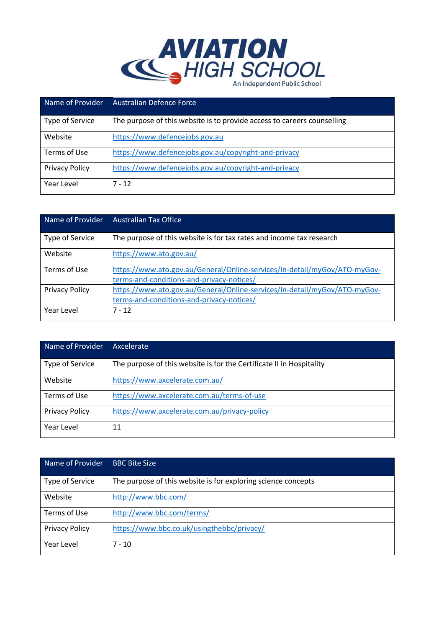

| Name of Provider      | <b>Australian Defence Force</b>                                         |
|-----------------------|-------------------------------------------------------------------------|
| Type of Service       | The purpose of this website is to provide access to careers counselling |
| Website               | https://www.defencejobs.gov.au                                          |
| Terms of Use          | https://www.defencejobs.gov.au/copyright-and-privacy                    |
| <b>Privacy Policy</b> | https://www.defencejobs.gov.au/copyright-and-privacy                    |
| Year Level            | $7 - 12$                                                                |

| Name of Provider      | <b>Australian Tax Office</b>                                                                                           |
|-----------------------|------------------------------------------------------------------------------------------------------------------------|
| Type of Service       | The purpose of this website is for tax rates and income tax research                                                   |
| Website               | https://www.ato.gov.au/                                                                                                |
| Terms of Use          | https://www.ato.gov.au/General/Online-services/In-detail/myGov/ATO-myGov-<br>terms-and-conditions-and-privacy-notices/ |
| <b>Privacy Policy</b> | https://www.ato.gov.au/General/Online-services/In-detail/myGov/ATO-myGov-<br>terms-and-conditions-and-privacy-notices/ |
| Year Level            | $7 - 12$                                                                                                               |

| Name of Provider      | Axcelerate                                                           |
|-----------------------|----------------------------------------------------------------------|
| Type of Service       | The purpose of this website is for the Certificate II in Hospitality |
| Website               | https://www.axcelerate.com.au/                                       |
| Terms of Use          | https://www.axcelerate.com.au/terms-of-use                           |
| <b>Privacy Policy</b> | https://www.axcelerate.com.au/privacy-policy                         |
| Year Level            | 11                                                                   |

| Name of Provider      | <b>BBC Bite Size</b>                                          |
|-----------------------|---------------------------------------------------------------|
| Type of Service       | The purpose of this website is for exploring science concepts |
| Website               | http://www.bbc.com/                                           |
| Terms of Use          | http://www.bbc.com/terms/                                     |
| <b>Privacy Policy</b> | https://www.bbc.co.uk/usingthebbc/privacy/                    |
| Year Level            | $7 - 10$                                                      |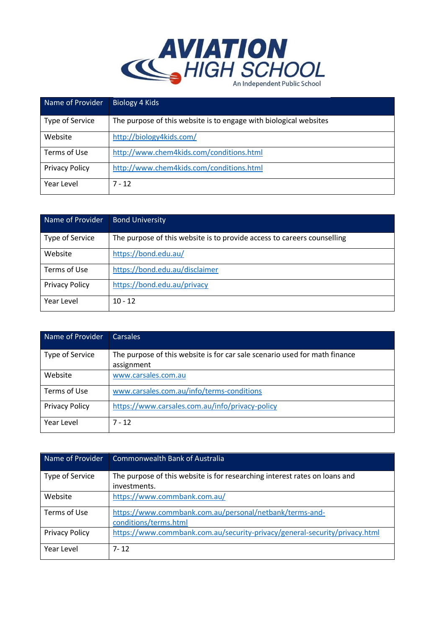

| Name of Provider      | Biology 4 Kids                                                    |
|-----------------------|-------------------------------------------------------------------|
| Type of Service       | The purpose of this website is to engage with biological websites |
| Website               | http://biology4kids.com/                                          |
| Terms of Use          | http://www.chem4kids.com/conditions.html                          |
| <b>Privacy Policy</b> | http://www.chem4kids.com/conditions.html                          |
| Year Level            | 7 - 12                                                            |

| Name of Provider      | <b>Bond University</b>                                                  |
|-----------------------|-------------------------------------------------------------------------|
| Type of Service       | The purpose of this website is to provide access to careers counselling |
| Website               | https://bond.edu.au/                                                    |
| Terms of Use          | https://bond.edu.au/disclaimer                                          |
| <b>Privacy Policy</b> | https://bond.edu.au/privacy                                             |
| Year Level            | $10 - 12$                                                               |

| Name of Provider      | <b>Carsales</b>                                                            |
|-----------------------|----------------------------------------------------------------------------|
| Type of Service       | The purpose of this website is for car sale scenario used for math finance |
|                       | assignment                                                                 |
| Website               | www.carsales.com.au                                                        |
| Terms of Use          | www.carsales.com.au/info/terms-conditions                                  |
| <b>Privacy Policy</b> | https://www.carsales.com.au/info/privacy-policy                            |
| Year Level            | $7 - 12$                                                                   |

| Name of Provider      | <b>Commonwealth Bank of Australia</b>                                      |
|-----------------------|----------------------------------------------------------------------------|
| Type of Service       | The purpose of this website is for researching interest rates on loans and |
|                       | investments.                                                               |
| Website               | https://www.commbank.com.au/                                               |
| Terms of Use          | https://www.commbank.com.au/personal/netbank/terms-and-                    |
|                       | conditions/terms.html                                                      |
| <b>Privacy Policy</b> | https://www.commbank.com.au/security-privacy/general-security/privacy.html |
| Year Level            | 7-12                                                                       |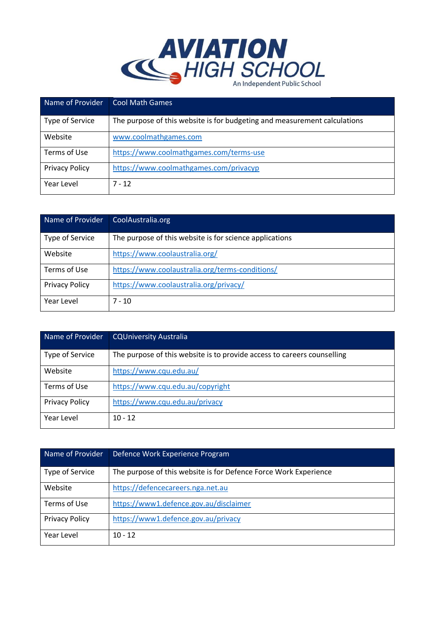

| Name of Provider      | <b>Cool Math Games</b>                                                    |
|-----------------------|---------------------------------------------------------------------------|
| Type of Service       | The purpose of this website is for budgeting and measurement calculations |
| Website               | www.coolmathgames.com                                                     |
| Terms of Use          | https://www.coolmathgames.com/terms-use                                   |
| <b>Privacy Policy</b> | https://www.coolmathgames.com/privacyp                                    |
| Year Level            | $7 - 12$                                                                  |

| Name of Provider      | CoolAustralia.org                                       |
|-----------------------|---------------------------------------------------------|
| Type of Service       | The purpose of this website is for science applications |
| Website               | https://www.coolaustralia.org/                          |
| Terms of Use          | https://www.coolaustralia.org/terms-conditions/         |
| <b>Privacy Policy</b> | https://www.coolaustralia.org/privacy/                  |
| Year Level            | $7 - 10$                                                |

| Name of Provider      | <b>CQUniversity Australia</b>                                           |
|-----------------------|-------------------------------------------------------------------------|
| Type of Service       | The purpose of this website is to provide access to careers counselling |
| Website               | https://www.cqu.edu.au/                                                 |
| Terms of Use          | https://www.cqu.edu.au/copyright                                        |
| <b>Privacy Policy</b> | https://www.cqu.edu.au/privacy                                          |
| Year Level            | $10 - 12$                                                               |

| Name of Provider      | Defence Work Experience Program                                  |
|-----------------------|------------------------------------------------------------------|
| Type of Service       | The purpose of this website is for Defence Force Work Experience |
| Website               | https://defencecareers.nga.net.au                                |
| Terms of Use          | https://www1.defence.gov.au/disclaimer                           |
| <b>Privacy Policy</b> | https://www1.defence.gov.au/privacy                              |
| Year Level            | $10 - 12$                                                        |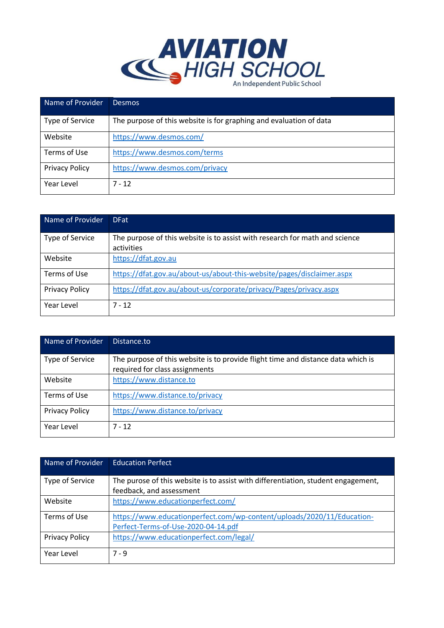

| Name of Provider      | Desmos                                                             |
|-----------------------|--------------------------------------------------------------------|
| Type of Service       | The purpose of this website is for graphing and evaluation of data |
| Website               | https://www.desmos.com/                                            |
| Terms of Use          | https://www.desmos.com/terms                                       |
| <b>Privacy Policy</b> | https://www.desmos.com/privacy                                     |
| Year Level            | $7 - 12$                                                           |

| Name of Provider      | <b>DFat</b>                                                                               |
|-----------------------|-------------------------------------------------------------------------------------------|
| Type of Service       | The purpose of this website is to assist with research for math and science<br>activities |
| Website               | https://dfat.gov.au                                                                       |
| Terms of Use          | https://dfat.gov.au/about-us/about-this-website/pages/disclaimer.aspx                     |
| <b>Privacy Policy</b> | https://dfat.gov.au/about-us/corporate/privacy/Pages/privacy.aspx                         |
| Year Level            | $7 - 12$                                                                                  |

| Name of Provider      | Distance.to                                                                                                        |
|-----------------------|--------------------------------------------------------------------------------------------------------------------|
| Type of Service       | The purpose of this website is to provide flight time and distance data which is<br>required for class assignments |
|                       |                                                                                                                    |
| Website               | https://www.distance.to                                                                                            |
| Terms of Use          | https://www.distance.to/privacy                                                                                    |
| <b>Privacy Policy</b> | https://www.distance.to/privacy                                                                                    |
| Year Level            | $7 - 12$                                                                                                           |

| Name of Provider      | <b>Education Perfect</b>                                                                                      |
|-----------------------|---------------------------------------------------------------------------------------------------------------|
| Type of Service       | The purose of this website is to assist with differentiation, student engagement,<br>feedback, and assessment |
| Website               | https://www.educationperfect.com/                                                                             |
| Terms of Use          | https://www.educationperfect.com/wp-content/uploads/2020/11/Education-<br>Perfect-Terms-of-Use-2020-04-14.pdf |
| <b>Privacy Policy</b> | https://www.educationperfect.com/legal/                                                                       |
| Year Level            | $7 - 9$                                                                                                       |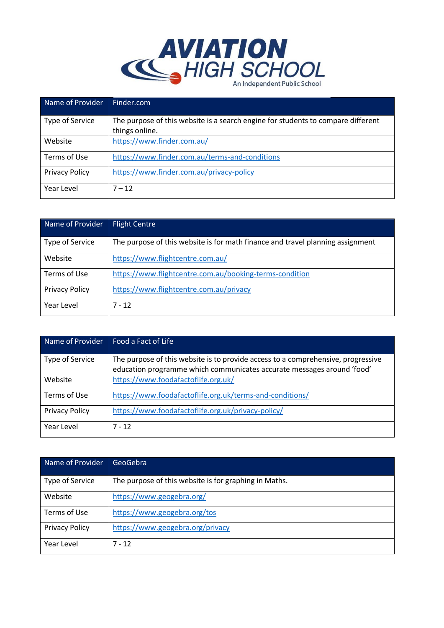

| Name of Provider      | Finder.com                                                                       |
|-----------------------|----------------------------------------------------------------------------------|
| Type of Service       | The purpose of this website is a search engine for students to compare different |
|                       | things online.                                                                   |
| Website               | https://www.finder.com.au/                                                       |
| Terms of Use          | https://www.finder.com.au/terms-and-conditions                                   |
| <b>Privacy Policy</b> | https://www.finder.com.au/privacy-policy                                         |
| Year Level            | $7 - 12$                                                                         |

| Name of Provider      | <b>Flight Centre</b>                                                           |
|-----------------------|--------------------------------------------------------------------------------|
| Type of Service       | The purpose of this website is for math finance and travel planning assignment |
| Website               | https://www.flightcentre.com.au/                                               |
| Terms of Use          | https://www.flightcentre.com.au/booking-terms-condition                        |
| <b>Privacy Policy</b> | https://www.flightcentre.com.au/privacy                                        |
| Year Level            | $7 - 12$                                                                       |

| Name of Provider      | Food a Fact of Life                                                                                                                                        |
|-----------------------|------------------------------------------------------------------------------------------------------------------------------------------------------------|
| Type of Service       | The purpose of this website is to provide access to a comprehensive, progressive<br>education programme which communicates accurate messages around 'food' |
| Website               | https://www.foodafactoflife.org.uk/                                                                                                                        |
| Terms of Use          | https://www.foodafactoflife.org.uk/terms-and-conditions/                                                                                                   |
| <b>Privacy Policy</b> | https://www.foodafactoflife.org.uk/privacy-policy/                                                                                                         |
| Year Level            | $7 - 12$                                                                                                                                                   |

| Name of Provider      | GeoGebra                                              |
|-----------------------|-------------------------------------------------------|
| Type of Service       | The purpose of this website is for graphing in Maths. |
| Website               | https://www.geogebra.org/                             |
| Terms of Use          | https://www.geogebra.org/tos                          |
| <b>Privacy Policy</b> | https://www.geogebra.org/privacy                      |
| Year Level            | $7 - 12$                                              |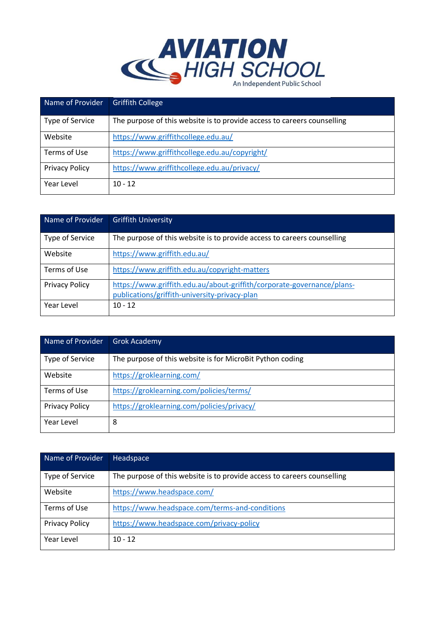

| Name of Provider      | <b>Griffith College</b>                                                 |
|-----------------------|-------------------------------------------------------------------------|
| Type of Service       | The purpose of this website is to provide access to careers counselling |
| Website               | https://www.griffithcollege.edu.au/                                     |
| Terms of Use          | https://www.griffithcollege.edu.au/copyright/                           |
| <b>Privacy Policy</b> | https://www.griffithcollege.edu.au/privacy/                             |
| Year Level            | $10 - 12$                                                               |

| Name of Provider      | <b>Griffith University</b>                                                                                              |
|-----------------------|-------------------------------------------------------------------------------------------------------------------------|
| Type of Service       | The purpose of this website is to provide access to careers counselling                                                 |
| Website               | https://www.griffith.edu.au/                                                                                            |
| Terms of Use          | https://www.griffith.edu.au/copyright-matters                                                                           |
| <b>Privacy Policy</b> | https://www.griffith.edu.au/about-griffith/corporate-governance/plans-<br>publications/griffith-university-privacy-plan |
| Year Level            | $10 - 12$                                                                                                               |

| Name of Provider      | <b>Grok Academy</b>                                       |
|-----------------------|-----------------------------------------------------------|
| Type of Service       | The purpose of this website is for MicroBit Python coding |
| Website               | https://groklearning.com/                                 |
| Terms of Use          | https://groklearning.com/policies/terms/                  |
| <b>Privacy Policy</b> | https://groklearning.com/policies/privacy/                |
| Year Level            | 8                                                         |

| Name of Provider      | Headspace                                                               |
|-----------------------|-------------------------------------------------------------------------|
| Type of Service       | The purpose of this website is to provide access to careers counselling |
| Website               | https://www.headspace.com/                                              |
| Terms of Use          | https://www.headspace.com/terms-and-conditions                          |
| <b>Privacy Policy</b> | https://www.headspace.com/privacy-policy                                |
| Year Level            | $10 - 12$                                                               |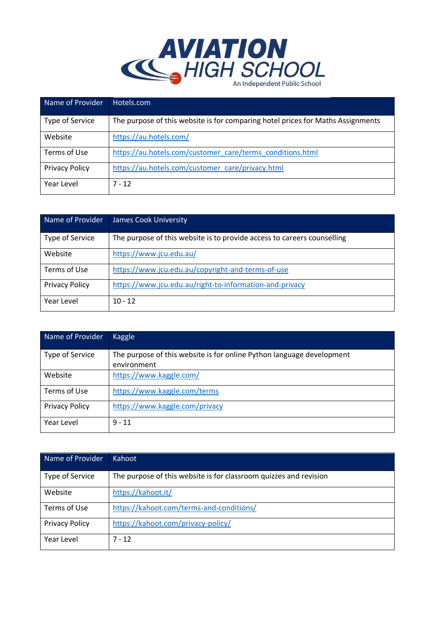

| Name of Provider      | Hotels.com                                                                      |
|-----------------------|---------------------------------------------------------------------------------|
| Type of Service       | The purpose of this website is for comparing hotel prices for Maths Assignments |
| Website               | https://au.hotels.com/                                                          |
| Terms of Use          | https://au.hotels.com/customer_care/terms_conditions.html                       |
| <b>Privacy Policy</b> | https://au.hotels.com/customer_care/privacy.html                                |
| Year Level            | $7 - 12$                                                                        |

| Name of Provider      | <b>James Cook University</b>                                            |
|-----------------------|-------------------------------------------------------------------------|
| Type of Service       | The purpose of this website is to provide access to careers counselling |
| Website               | https://www.jcu.edu.au/                                                 |
| Terms of Use          | https://www.jcu.edu.au/copyright-and-terms-of-use                       |
| <b>Privacy Policy</b> | https://www.jcu.edu.au/right-to-information-and-privacy                 |
| Year Level            | $10 - 12$                                                               |

| Name of Provider      | Kaggle                                                                |
|-----------------------|-----------------------------------------------------------------------|
| Type of Service       | The purpose of this website is for online Python language development |
|                       | environment                                                           |
| Website               | https://www.kaggle.com/                                               |
| Terms of Use          | https://www.kaggle.com/terms                                          |
| <b>Privacy Policy</b> | https://www.kaggle.com/privacy                                        |
| Year Level            | $9 - 11$                                                              |

| Name of Provider      | Kahoot                                                            |
|-----------------------|-------------------------------------------------------------------|
| Type of Service       | The purpose of this website is for classroom quizzes and revision |
| Website               | https://kahoot.it/                                                |
| Terms of Use          | https://kahoot.com/terms-and-conditions/                          |
| <b>Privacy Policy</b> | https://kahoot.com/privacy-policy/                                |
| Year Level            | $7 - 12$                                                          |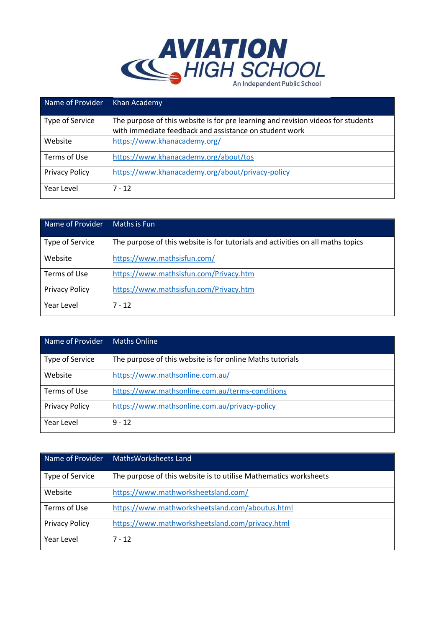

| Name of Provider      | Khan Academy                                                                                                                               |
|-----------------------|--------------------------------------------------------------------------------------------------------------------------------------------|
| Type of Service       | The purpose of this website is for pre learning and revision videos for students<br>with immediate feedback and assistance on student work |
|                       |                                                                                                                                            |
| Website               | https://www.khanacademy.org/                                                                                                               |
| Terms of Use          | https://www.khanacademy.org/about/tos                                                                                                      |
| <b>Privacy Policy</b> | https://www.khanacademy.org/about/privacy-policy                                                                                           |
| Year Level            | $7 - 12$                                                                                                                                   |

| Name of Provider      | Maths is Fun                                                                    |
|-----------------------|---------------------------------------------------------------------------------|
| Type of Service       | The purpose of this website is for tutorials and activities on all maths topics |
| Website               | https://www.mathsisfun.com/                                                     |
| Terms of Use          | https://www.mathsisfun.com/Privacy.htm                                          |
| <b>Privacy Policy</b> | https://www.mathsisfun.com/Privacy.htm                                          |
| Year Level            | $7 - 12$                                                                        |

| Name of Provider      | <b>Maths Online</b>                                       |
|-----------------------|-----------------------------------------------------------|
| Type of Service       | The purpose of this website is for online Maths tutorials |
| Website               | https://www.mathsonline.com.au/                           |
| Terms of Use          | https://www.mathsonline.com.au/terms-conditions           |
| <b>Privacy Policy</b> | https://www.mathsonline.com.au/privacy-policy             |
| Year Level            | $9 - 12$                                                  |

| Name of Provider      | Maths Worksheets Land                                            |
|-----------------------|------------------------------------------------------------------|
| Type of Service       | The purpose of this website is to utilise Mathematics worksheets |
| Website               | https://www.mathworksheetsland.com/                              |
| Terms of Use          | https://www.mathworksheetsland.com/aboutus.html                  |
| <b>Privacy Policy</b> | https://www.mathworksheetsland.com/privacy.html                  |
| Year Level            | $7 - 12$                                                         |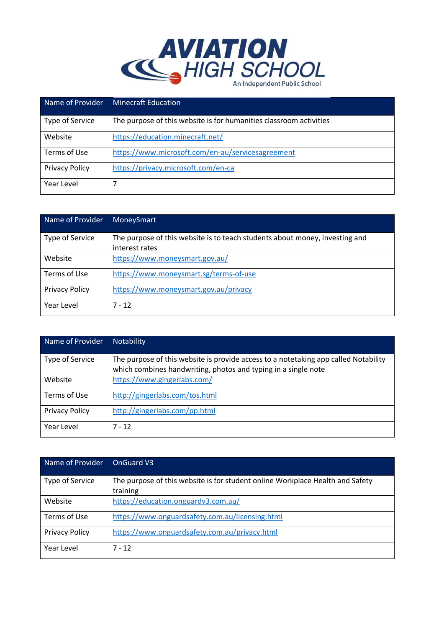

| Name of Provider      | <b>Minecraft Education</b>                                         |
|-----------------------|--------------------------------------------------------------------|
| Type of Service       | The purpose of this website is for humanities classroom activities |
| Website               | https://education.minecraft.net/                                   |
| Terms of Use          | https://www.microsoft.com/en-au/servicesagreement                  |
| <b>Privacy Policy</b> | https://privacy.microsoft.com/en-ca                                |
| Year Level            |                                                                    |

| Name of Provider      | MoneySmart                                                                                    |
|-----------------------|-----------------------------------------------------------------------------------------------|
| Type of Service       | The purpose of this website is to teach students about money, investing and<br>interest rates |
| Website               | https://www.moneysmart.gov.au/                                                                |
| Terms of Use          | https://www.moneysmart.sg/terms-of-use                                                        |
| <b>Privacy Policy</b> | https://www.moneysmart.gov.au/privacy                                                         |
| Year Level            | $7 - 12$                                                                                      |

| Name of Provider      | <b>Notability</b>                                                                                                                                     |
|-----------------------|-------------------------------------------------------------------------------------------------------------------------------------------------------|
| Type of Service       | The purpose of this website is provide access to a notetaking app called Notability<br>which combines handwriting, photos and typing in a single note |
| Website               | https://www.gingerlabs.com/                                                                                                                           |
| Terms of Use          | http://gingerlabs.com/tos.html                                                                                                                        |
| <b>Privacy Policy</b> | http://gingerlabs.com/pp.html                                                                                                                         |
| Year Level            | $7 - 12$                                                                                                                                              |

| Name of Provider      | OnGuard V3                                                                                |
|-----------------------|-------------------------------------------------------------------------------------------|
| Type of Service       | The purpose of this website is for student online Workplace Health and Safety<br>training |
| Website               | https://education.onguardv3.com.au/                                                       |
| Terms of Use          | https://www.onguardsafety.com.au/licensing.html                                           |
| <b>Privacy Policy</b> | https://www.onguardsafety.com.au/privacy.html                                             |
| Year Level            | $7 - 12$                                                                                  |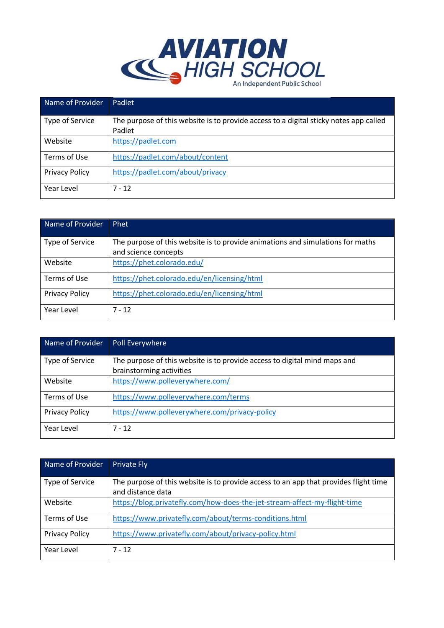

| Name of Provider      | Padlet                                                                                |
|-----------------------|---------------------------------------------------------------------------------------|
| Type of Service       | The purpose of this website is to provide access to a digital sticky notes app called |
|                       | Padlet                                                                                |
| Website               | https://padlet.com                                                                    |
| Terms of Use          | https://padlet.com/about/content                                                      |
| <b>Privacy Policy</b> | https://padlet.com/about/privacy                                                      |
| Year Level            | $7 - 12$                                                                              |

| Name of Provider      | Phet                                                                           |
|-----------------------|--------------------------------------------------------------------------------|
| Type of Service       | The purpose of this website is to provide animations and simulations for maths |
|                       | and science concepts                                                           |
| Website               | https://phet.colorado.edu/                                                     |
| Terms of Use          | https://phet.colorado.edu/en/licensing/html                                    |
| <b>Privacy Policy</b> | https://phet.colorado.edu/en/licensing/html                                    |
| Year Level            | $7 - 12$                                                                       |

| Name of Provider      | Poll Everywhere                                                           |
|-----------------------|---------------------------------------------------------------------------|
| Type of Service       | The purpose of this website is to provide access to digital mind maps and |
|                       | brainstorming activities                                                  |
| Website               | https://www.polleverywhere.com/                                           |
| Terms of Use          | https://www.polleverywhere.com/terms                                      |
| <b>Privacy Policy</b> | https://www.polleverywhere.com/privacy-policy                             |
| Year Level            | $7 - 12$                                                                  |

| Name of Provider      | <b>Private Fly</b>                                                                   |
|-----------------------|--------------------------------------------------------------------------------------|
| Type of Service       | The purpose of this website is to provide access to an app that provides flight time |
|                       | and distance data                                                                    |
| Website               | https://blog.privatefly.com/how-does-the-jet-stream-affect-my-flight-time            |
| Terms of Use          | https://www.privatefly.com/about/terms-conditions.html                               |
| <b>Privacy Policy</b> | https://www.privatefly.com/about/privacy-policy.html                                 |
| Year Level            | $7 - 12$                                                                             |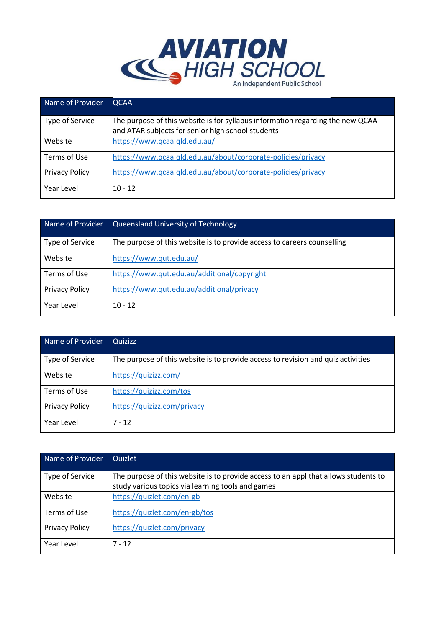

| Name of Provider      | <b>QCAA</b>                                                                    |
|-----------------------|--------------------------------------------------------------------------------|
| Type of Service       | The purpose of this website is for syllabus information regarding the new QCAA |
|                       | and ATAR subjects for senior high school students                              |
| Website               | https://www.qcaa.qld.edu.au/                                                   |
| Terms of Use          | https://www.qcaa.qld.edu.au/about/corporate-policies/privacy                   |
| <b>Privacy Policy</b> | https://www.qcaa.qld.edu.au/about/corporate-policies/privacy                   |
| Year Level            | $10 - 12$                                                                      |

| Name of Provider      | <b>Queensland University of Technology</b>                              |
|-----------------------|-------------------------------------------------------------------------|
| Type of Service       | The purpose of this website is to provide access to careers counselling |
| Website               | https://www.qut.edu.au/                                                 |
| Terms of Use          | https://www.qut.edu.au/additional/copyright                             |
| <b>Privacy Policy</b> | https://www.qut.edu.au/additional/privacy                               |
| Year Level            | $10 - 12$                                                               |

| Name of Provider      | <b>Quizizz</b>                                                                   |
|-----------------------|----------------------------------------------------------------------------------|
| Type of Service       | The purpose of this website is to provide access to revision and quiz activities |
| Website               | https://quizizz.com/                                                             |
| Terms of Use          | https://quizizz.com/tos                                                          |
| <b>Privacy Policy</b> | https://quizizz.com/privacy                                                      |
| Year Level            | $7 - 12$                                                                         |

| Name of Provider      | Quizlet                                                                                                                                  |
|-----------------------|------------------------------------------------------------------------------------------------------------------------------------------|
| Type of Service       | The purpose of this website is to provide access to an appl that allows students to<br>study various topics via learning tools and games |
| Website               | https://quizlet.com/en-gb                                                                                                                |
| Terms of Use          | https://quizlet.com/en-gb/tos                                                                                                            |
| <b>Privacy Policy</b> | https://quizlet.com/privacy                                                                                                              |
| Year Level            | $7 - 12$                                                                                                                                 |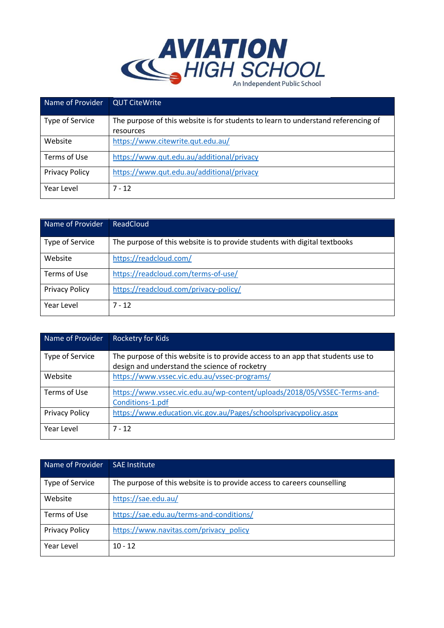

| Name of Provider      | <b>QUT CiteWrite</b>                                                              |
|-----------------------|-----------------------------------------------------------------------------------|
| Type of Service       | The purpose of this website is for students to learn to understand referencing of |
|                       | resources                                                                         |
| Website               | https://www.citewrite.qut.edu.au/                                                 |
| Terms of Use          | https://www.qut.edu.au/additional/privacy                                         |
| <b>Privacy Policy</b> | https://www.qut.edu.au/additional/privacy                                         |
| Year Level            | $7 - 12$                                                                          |

| Name of Provider      | ReadCloud                                                                 |
|-----------------------|---------------------------------------------------------------------------|
| Type of Service       | The purpose of this website is to provide students with digital textbooks |
| Website               | https://readcloud.com/                                                    |
| Terms of Use          | https://readcloud.com/terms-of-use/                                       |
| <b>Privacy Policy</b> | https://readcloud.com/privacy-policy/                                     |
| Year Level            | $7 - 12$                                                                  |

| Name of Provider      | <b>Rocketry for Kids</b>                                                                                                         |
|-----------------------|----------------------------------------------------------------------------------------------------------------------------------|
| Type of Service       | The purpose of this website is to provide access to an app that students use to<br>design and understand the science of rocketry |
| Website               | https://www.vssec.vic.edu.au/vssec-programs/                                                                                     |
| Terms of Use          | https://www.vssec.vic.edu.au/wp-content/uploads/2018/05/VSSEC-Terms-and-<br>Conditions-1.pdf                                     |
| <b>Privacy Policy</b> | https://www.education.vic.gov.au/Pages/schoolsprivacypolicy.aspx                                                                 |
| Year Level            | $7 - 12$                                                                                                                         |

| Name of Provider      | <b>SAE Institute</b>                                                    |
|-----------------------|-------------------------------------------------------------------------|
| Type of Service       | The purpose of this website is to provide access to careers counselling |
| Website               | https://sae.edu.au/                                                     |
| Terms of Use          | https://sae.edu.au/terms-and-conditions/                                |
| <b>Privacy Policy</b> | https://www.navitas.com/privacy_policy                                  |
| Year Level            | $10 - 12$                                                               |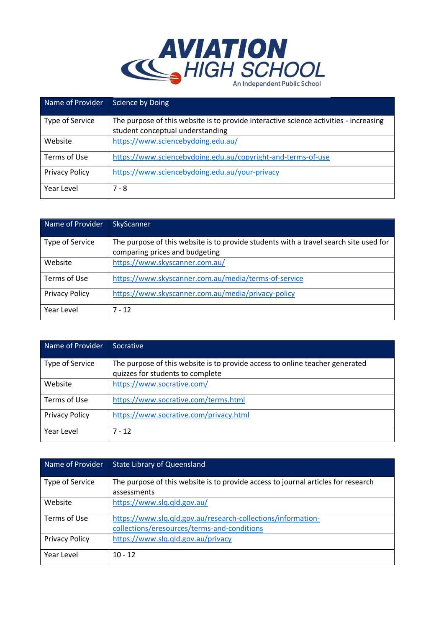

| Name of Provider      | Science by Doing                                                                      |
|-----------------------|---------------------------------------------------------------------------------------|
| Type of Service       | The purpose of this website is to provide interactive science activities - increasing |
|                       | student conceptual understanding                                                      |
| Website               | https://www.sciencebydoing.edu.au/                                                    |
| Terms of Use          | https://www.sciencebydoing.edu.au/copyright-and-terms-of-use                          |
| <b>Privacy Policy</b> | https://www.sciencebydoing.edu.au/your-privacy                                        |
| Year Level            | $7 - 8$                                                                               |

| Name of Provider      | SkyScanner                                                                            |
|-----------------------|---------------------------------------------------------------------------------------|
| Type of Service       | The purpose of this website is to provide students with a travel search site used for |
|                       | comparing prices and budgeting                                                        |
| Website               | https://www.skyscanner.com.au/                                                        |
| Terms of Use          | https://www.skyscanner.com.au/media/terms-of-service                                  |
| <b>Privacy Policy</b> | https://www.skyscanner.com.au/media/privacy-policy                                    |
| Year Level            | $7 - 12$                                                                              |

| Name of Provider      | Socrative                                                                    |
|-----------------------|------------------------------------------------------------------------------|
| Type of Service       | The purpose of this website is to provide access to online teacher generated |
|                       | quizzes for students to complete                                             |
| Website               | https://www.socrative.com/                                                   |
| Terms of Use          | https://www.socrative.com/terms.html                                         |
| <b>Privacy Policy</b> | https://www.socrative.com/privacy.html                                       |
| Year Level            | $7 - 12$                                                                     |

| Name of Provider      | <b>State Library of Queensland</b>                                                                          |
|-----------------------|-------------------------------------------------------------------------------------------------------------|
| Type of Service       | The purpose of this website is to provide access to journal articles for research<br>assessments            |
| Website               | https://www.slq.qld.gov.au/                                                                                 |
| Terms of Use          | https://www.slq.qld.gov.au/research-collections/information-<br>collections/eresources/terms-and-conditions |
| <b>Privacy Policy</b> | https://www.slq.qld.gov.au/privacy                                                                          |
| Year Level            | $10 - 12$                                                                                                   |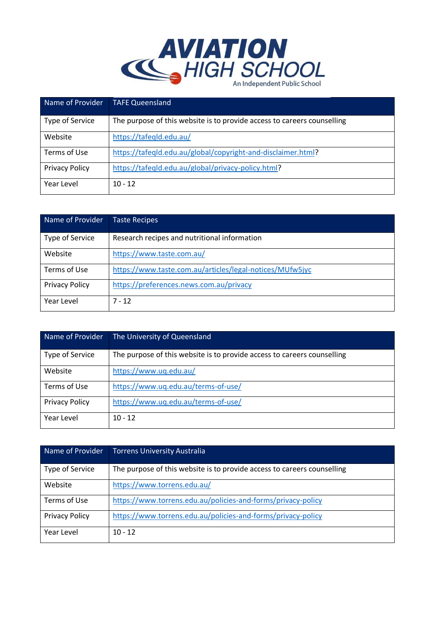

| Name of Provider      | <b>TAFE Queensland</b>                                                  |
|-----------------------|-------------------------------------------------------------------------|
| Type of Service       | The purpose of this website is to provide access to careers counselling |
| Website               | https://tafeqld.edu.au/                                                 |
| Terms of Use          | https://tafeqld.edu.au/global/copyright-and-disclaimer.html?            |
| <b>Privacy Policy</b> | https://tafeqld.edu.au/global/privacy-policy.html?                      |
| Year Level            | $10 - 12$                                                               |

| Name of Provider      | <b>Taste Recipes</b>                                     |
|-----------------------|----------------------------------------------------------|
| Type of Service       | Research recipes and nutritional information             |
| Website               | https://www.taste.com.au/                                |
| Terms of Use          | https://www.taste.com.au/articles/legal-notices/MUfw5jyc |
| <b>Privacy Policy</b> | https://preferences.news.com.au/privacy                  |
| Year Level            | $7 - 12$                                                 |

| Name of Provider      | The University of Queensland                                            |
|-----------------------|-------------------------------------------------------------------------|
| Type of Service       | The purpose of this website is to provide access to careers counselling |
| Website               | https://www.uq.edu.au/                                                  |
| Terms of Use          | https://www.uq.edu.au/terms-of-use/                                     |
| <b>Privacy Policy</b> | https://www.uq.edu.au/terms-of-use/                                     |
| Year Level            | $10 - 12$                                                               |

| Name of Provider      | Torrens University Australia                                            |
|-----------------------|-------------------------------------------------------------------------|
| Type of Service       | The purpose of this website is to provide access to careers counselling |
| Website               | https://www.torrens.edu.au/                                             |
| Terms of Use          | https://www.torrens.edu.au/policies-and-forms/privacy-policy            |
| <b>Privacy Policy</b> | https://www.torrens.edu.au/policies-and-forms/privacy-policy            |
| Year Level            | $10 - 12$                                                               |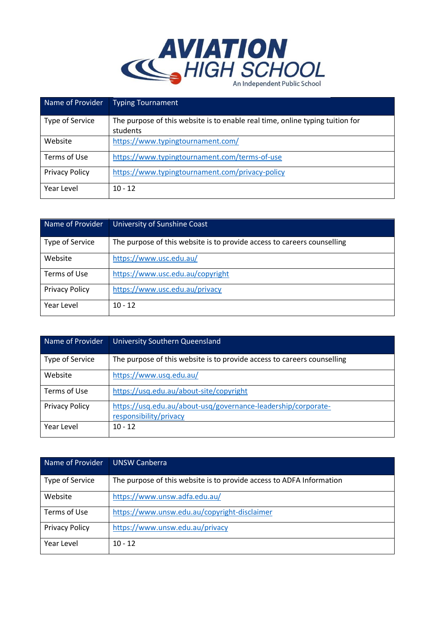

| Name of Provider      | <b>Typing Tournament</b>                                                      |
|-----------------------|-------------------------------------------------------------------------------|
| Type of Service       | The purpose of this website is to enable real time, online typing tuition for |
|                       | students                                                                      |
| Website               | https://www.typingtournament.com/                                             |
| Terms of Use          | https://www.typingtournament.com/terms-of-use                                 |
| <b>Privacy Policy</b> | https://www.typingtournament.com/privacy-policy                               |
| Year Level            | $10 - 12$                                                                     |

| Name of Provider      | University of Sunshine Coast                                            |
|-----------------------|-------------------------------------------------------------------------|
| Type of Service       | The purpose of this website is to provide access to careers counselling |
| Website               | https://www.usc.edu.au/                                                 |
| Terms of Use          | https://www.usc.edu.au/copyright                                        |
| <b>Privacy Policy</b> | https://www.usc.edu.au/privacy                                          |
| Year Level            | $10 - 12$                                                               |

| Name of Provider      | University Southern Queensland                                                          |
|-----------------------|-----------------------------------------------------------------------------------------|
| Type of Service       | The purpose of this website is to provide access to careers counselling                 |
| Website               | https://www.usq.edu.au/                                                                 |
| Terms of Use          | https://usq.edu.au/about-site/copyright                                                 |
| <b>Privacy Policy</b> | https://usq.edu.au/about-usq/governance-leadership/corporate-<br>responsibility/privacy |
| Year Level            | $10 - 12$                                                                               |

| Name of Provider      | <b>UNSW Canberra</b>                                                 |
|-----------------------|----------------------------------------------------------------------|
| Type of Service       | The purpose of this website is to provide access to ADFA Information |
| Website               | https://www.unsw.adfa.edu.au/                                        |
| Terms of Use          | https://www.unsw.edu.au/copyright-disclaimer                         |
| <b>Privacy Policy</b> | https://www.unsw.edu.au/privacy                                      |
| Year Level            | $10 - 12$                                                            |